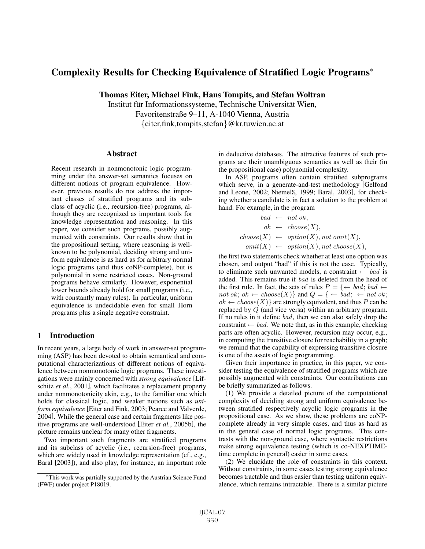# Complexity Results for Checking Equivalence of Stratified Logic Programs<sup>∗</sup>

Thomas Eiter, Michael Fink, Hans Tompits, and Stefan Woltran

Institut für Informationssysteme, Technische Universität Wien, Favoritenstraße 9–11, A-1040 Vienna, Austria {eiter,fink,tompits,stefan}@kr.tuwien.ac.at

#### **Abstract**

Recent research in nonmonotonic logic programming under the answer-set semantics focuses on different notions of program equivalence. However, previous results do not address the important classes of stratified programs and its subclass of acyclic (i.e., recursion-free) programs, although they are recognized as important tools for knowledge representation and reasoning. In this paper, we consider such programs, possibly augmented with constraints. Our results show that in the propositional setting, where reasoning is wellknown to be polynomial, deciding strong and uniform equivalence is as hard as for arbitrary normal logic programs (and thus coNP-complete), but is polynomial in some restricted cases. Non-ground programs behave similarly. However, exponential lower bounds already hold for small programs (i.e., with constantly many rules). In particular, uniform equivalence is undecidable even for small Horn programs plus a single negative constraint.

## 1 Introduction

In recent years, a large body of work in answer-set programming (ASP) has been devoted to obtain semantical and computational characterizations of different notions of equivalence between nonmonotonic logic programs. These investigations were mainly concerned with *strong equivalence* [Lifschitz *et al.*, 2001], which facilitates a replacement property under nonmonotonicity akin, e.g., to the familiar one which holds for classical logic, and weaker notions such as *uniform equivalence* [Eiter and Fink, 2003; Pearce and Valverde, 2004]. While the general case and certain fragments like positive programs are well-understood [Eiter *et al.*, 2005b], the picture remains unclear for many other fragments.

Two important such fragments are stratified programs and its subclass of acyclic (i.e., recursion-free) programs, which are widely used in knowledge representation (cf., e.g., Baral [2003]), and also play, for instance, an important role in deductive databases. The attractive features of such programs are their unambiguous semantics as well as their (in the propositional case) polynomial complexity.

In ASP, programs often contain stratified subprograms which serve, in a generate-and-test methodology [Gelfond and Leone, 2002; Niemelä, 1999; Baral, 2003], for checking whether a candidate is in fact a solution to the problem at hand. For example, in the program

$$
bad \leftarrow not \, ok,
$$
  
\n
$$
ok \leftarrow choose(X),
$$
  
\n
$$
choose(X) \leftarrow option(X), not \, omit(X),
$$
  
\n
$$
omit(X) \leftarrow option(X), not \, choose(X),
$$

the first two statements check whether at least one option was chosen, and output "bad" if this is not the case. Typically, to eliminate such unwanted models, a constraint  $\leftarrow$  bad is added. This remains true if bad is deleted from the head of the first rule. In fact, the sets of rules  $P = \{ \leftarrow bad; bad \leftarrow \}$ not ok; ok  $\leftarrow$  choose(X)} and  $Q = \{ \leftarrow bad; \leftarrow not \, ok; \}$  $ok \leftarrow choose(X)$  are strongly equivalent, and thus P can be replaced by Q (and vice versa) within an arbitrary program. If no rules in it define bad, then we can also safely drop the constraint  $\leftarrow$  bad. We note that, as in this example, checking parts are often acyclic. However, recursion may occur, e.g., in computing the transitive closure for reachability in a graph; we remind that the capability of expressing transitive closure is one of the assets of logic programming.

Given their importance in practice, in this paper, we consider testing the equivalence of stratified programs which are possibly augmented with constraints. Our contributions can be briefly summarized as follows.

(1) We provide a detailed picture of the computational complexity of deciding strong and uniform equivalence between stratified respectively acyclic logic programs in the propositional case. As we show, these problems are coNPcomplete already in very simple cases, and thus as hard as in the general case of normal logic programs. This contrasts with the non-ground case, where syntactic restrictions make strong equivalence testing (which is co-NEXPTIMEtime complete in general) easier in some cases.

(2) We elucidate the role of constraints in this context. Without constraints, in some cases testing strong equivalence becomes tractable and thus easier than testing uniform equivalence, which remains intractable. There is a similar picture

<sup>∗</sup>This work was partially supported by the Austrian Science Fund (FWF) under project P18019.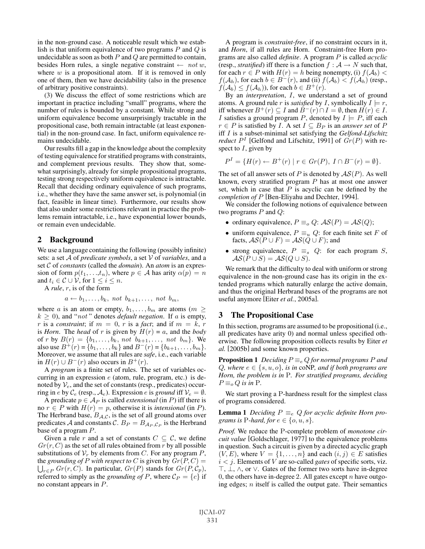in the non-ground case. A noticeable result which we establish is that uniform equivalence of two programs  $P$  and  $Q$  is undecidable as soon as both  $P$  and  $Q$  are permitted to contain, besides Horn rules, a single negative constraint  $\leftarrow$  not w, where  $w$  is a propositional atom. If it is removed in only one of them, then we have decidability (also in the presence of arbitrary positive constraints).

(3) We discuss the effect of some restrictions which are important in practice including "small" programs, where the number of rules is bounded by a constant. While strong and uniform equivalence become unsurprisingly tractable in the propositional case, both remain intractable (at least exponential) in the non-ground case. In fact, uniform equivalence remains undecidable.

Our results fill a gap in the knowledge about the complexity of testing equivalence for stratified programs with constraints, and complement previous results. They show that, somewhat surprisingly, already for simple propositional programs, testing strong respectively uniform equivalence is intractable. Recall that deciding ordinary equivalence of such programs, i.e., whether they have the same answer set, is polynomial (in fact, feasible in linear time). Furthermore, our results show that also under some restrictions relevant in practice the problems remain intractable, i.e., have exponential lower bounds, or remain even undecidable.

#### 2 Background

We use a language containing the following (possibly infinite) sets: a set A of *predicate symbols*, a set V of *variables*, and a set C of *constants* (called the *domain*). An *atom* is an expression of form  $p(t_1,...,t_n)$ , where  $p \in A$  has arity  $\alpha(p) = n$ and  $t_i \in \mathcal{C} \cup \mathcal{V}$ , for  $1 \leq i \leq n$ .

A *rule*, r, is of the form

 $a \leftarrow b_1, \ldots, b_k$ , not  $b_{k+1}, \ldots$ , not  $b_m$ ,

where a is an atom or empty,  $b_1, \ldots, b_m$  are atoms ( $m \geq$  $k \geq 0$ ), and "*not*" denotes *default negation*. If a is empty, r is a *constraint*; if  $m = 0$ , r is a *fact*; and if  $m = k$ , r is *Horn*. The *head* of r is given by  $H(r) = a$ , and the *body* of r by  $B(r) = \{b_1, ..., b_k, not \ b_{k+1}, ..., \ not \ b_m\}$ . We also use  $B^+(r) = \{b_1, \ldots, b_k\}$  and  $B^-(r) = \{b_{k+1}, \ldots, b_m\}.$ Moreover, we assume that all rules are *safe*, i.e., each variable in  $H(r)$  ∪  $B^{-}(r)$  also occurs in  $B^{+}(r)$ .

A *program* is a finite set of rules. The set of variables occurring in an expression  $e$  (atom, rule, program, etc.) is denoted by  $V_e$ , and the set of constants (resp., predicates) occurring in e by  $\mathcal{C}_e$  (resp.,  $\mathcal{A}_e$ ). Expression e is *ground* iff  $\mathcal{V}_e = \emptyset$ .

A predicate  $p \in A_P$  is called *extensional* (in P) iff there is no  $r \in P$  with  $H(r) = p$ , otherwise it is *intensional* (in P). The Herbrand base,  $B_{A,C}$ , is the set of all ground atoms over predicates A and constants C.  $B_P = B_{A_P, C_P}$  is the Herbrand base of a program P.

Given a rule r and a set of constants  $C \subseteq \mathcal{C}$ , we define  $Gr(r, C)$  as the set of all rules obtained from r by all possible substitutions of  $V_r$  by elements from C. For any program P, the *grounding of* P with respect to C is given by  $\overline{Gr(P, C)}$  =  $\bigcup_{r \in P} Gr(r, C)$ . In particular,  $Gr(P)$  stands for  $Gr(P, C_p)$ , referred to simply as the *grounding of* P, where  $C_P = \{c\}$  if no constant appears in P.

A program is *constraint-free*, if no constraint occurs in it, and *Horn*, if all rules are Horn. Constraint-free Horn programs are also called *definite*. A program P is called *acyclic* (resp., *stratified*) iff there is a function  $f : A \rightarrow N$  such that, for each  $r \in P$  with  $H(r) = h$  being nonempty, (i)  $f(\mathcal{A}_b)$  <  $f(\mathcal{A}_h)$ , for each  $b \in B^-(r)$ , and (ii)  $f(\mathcal{A}_b) < f(\mathcal{A}_h)$  (resp.,  $f(\mathcal{A}_b) \leq f(\mathcal{A}_h)$ , for each  $b \in B^+(r)$ .

By an *interpretation*, I, we understand a set of ground atoms. A ground rule r is *satisfied* by I, symbolically  $I \models r$ , iff whenever  $B^+(r) \subseteq I$  and  $B^-(r) \cap I = \emptyset$ , then  $H(r) \in I$ . I satisfies a ground program P, denoted by  $I \models P$ , iff each  $r ∈ P$  is satisfied by *I*. A set  $I ⊆ B_P$  is an *answer set* of  $P$ iff I is a subset-minimal set satisfying the *Gelfond-Lifschitz reduct*  $P<sup>I</sup>$  [Gelfond and Lifschitz, 1991] of  $Gr(P)$  with respect to  $I$ , given by

$$
P^{I} = \{H(r) \leftarrow B^{+}(r) \mid r \in Gr(P), I \cap B^{-}(r) = \emptyset\}.
$$

The set of all answer sets of P is denoted by  $AS(P)$ . As well known, every stratified program P has at most one answer set, which in case that  $P$  is acyclic can be defined by the *completion of* P [Ben-Eliyahu and Dechter, 1994].

We consider the following notions of equivalence between two programs  $P$  and  $Q$ :

- ordinary equivalence,  $P \equiv_o Q: AS(P) = AS(Q);$
- uniform equivalence,  $P \equiv_u Q$ : for each finite set F of facts,  $\mathcal{AS}(P \cup F) = \mathcal{AS}(Q \cup F)$ ; and
- strong equivalence,  $P \equiv_s Q$ : for each program S,  $AS(P \cup S) = AS(Q \cup S).$

We remark that the difficulty to deal with uniform or strong equivalence in the non-ground case has its origin in the extended programs which naturally enlarge the active domain, and thus the original Herbrand bases of the programs are not useful anymore [Eiter *et al.*, 2005a].

#### 3 The Propositional Case

In this section, programs are assumed to be propositional (i.e., all predicates have arity 0) and normal unless specified otherwise. The following proposition collects results by Eiter *et al.* [2005b] and some known properties.

**Proposition 1** *Deciding*  $P \equiv_e Q$  *for normal programs* P *and* Q, where  $e \in \{s, u, o\}$ , is in coNP, and if both programs are *Horn, the problem is in* P*. For stratified programs, deciding*  $P \equiv_o Q$  *is in* P.

We start proving a P-hardness result for the simplest class of programs considered.

**Lemma 1** *Deciding*  $P \equiv_e Q$  *for acyclic definite Horn programs is* P-*hard, for*  $e \in \{o, u, s\}$ .

*Proof.* We reduce the P-complete problem of *monotone circuit value* [Goldschlager, 1977] to the equivalence problems in question. Such a circuit is given by a directed acyclic graph  $(V, E)$ , where  $V = \{1, \ldots, n\}$  and each  $(i, j) \in E$  satisfies  $i < j$ . Elements of V are so-called *gates* of specific sorts, viz.  $\top$ ,  $\bot$ ,  $\wedge$ , or  $\vee$ . Gates of the former two sorts have in-degree 0, the others have in-degree 2. All gates except  $n$  have outgoing edges;  $n$  itself is called the output gate. Their semantics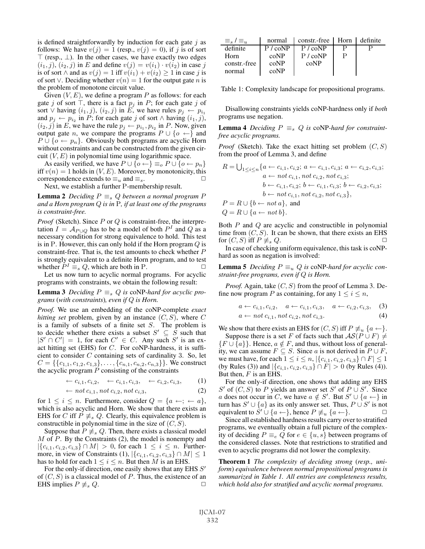is defined straightforwardly by induction for each gate  $j$  as follows: We have  $v(j)=1$  (resp.,  $v(j)=0$ ), if j is of sort  $\top$  (resp.,  $\bot$ ). In the other cases, we have exactly two edges  $(i_1, j)$ ,  $(i_2, j)$  in E and define  $v(j) = v(i_1) \cdot v(i_2)$  in case j is of sort ∧ and as  $v(j) = 1$  iff  $v(i_1) + v(i_2) \ge 1$  in case j is of sort ∨. Deciding whether  $v(n)=1$  for the output gate n is the problem of monotone circuit value.

Given  $(V, E)$ , we define a program P as follows: for each gate j of sort  $\top$ , there is a fact  $p_j$  in P; for each gate j of sort  $\vee$  having  $(i_1, j)$ ,  $(i_2, j)$  in E, we have rules  $p_j \leftarrow p_{i_1}$ and  $p_j \leftarrow p_{i_2}$  in P; for each gate j of sort  $\wedge$  having  $(i_1, j)$ ,  $(i_2, j)$  in E, we have the rule  $p_j \leftarrow p_{i_1}, p_{i_2}$  in P. Now, given output gate *n*, we compare the programs  $P \cup \{o \leftarrow\}$  and  $P \cup \{o \leftarrow p_n\}$ . Obviously both programs are acyclic Horn without constraints and can be constructed from the given circuit  $(V, E)$  in polynomial time using logarithmic space.

As easily verified, we have  $P \cup \{o \leftarrow\} \equiv_o P \cup \{o \leftarrow p_n\}$ iff  $v(n)=1$  holds in  $(V, E)$ . Moreover, by monotonicity, this correspondence extends to  $\equiv_u$  and  $\equiv_s$ .

Next, we establish a further P-membership result.

**Lemma 2** *Deciding*  $P \equiv_s Q$  *between a normal program*  $P$ *and a Horn program* Q *is in* P*, if at least one of the programs is constraint-free.*

*Proof* (Sketch). Since P or Q is constraint-free, the interpretation  $I = A_{P\cup Q}$  has to be a model of both  $P<sup>I</sup>$  and  $Q$  as a necessary condition for strong equivalence to hold. This test is in P. However, this can only hold if the Horn program  $Q$  is constraint-free. That is, the test amounts to check whether P is strongly equivalent to a definite Horn program, and to test whether  $P^I \equiv_s Q$ , which are both in P.  $\Box$ 

Let us now turn to acyclic normal programs. For acyclic programs with constraints, we obtain the following result:

**Lemma 3** *Deciding*  $P \equiv_s Q$  *is* coNP-hard for acyclic pro*grams* (*with constraints*)*, even if* Q *is Horn.*

*Proof.* We use an embedding of the coNP-complete *exact hitting set* problem, given by an instance  $(C, S)$ , where C is a family of subsets of a finite set  $S$ . The problem is to decide whether there exists a subset  $S' \subseteq \overline{S}$  such that  $|S' \cap C'| = 1$ , for each  $C' \in C$ . Any such S' is an exact hitting set (EHS) for  $C$ . For coNP-hardness, it is sufficient to consider  $C$  containing sets of cardinality 3. So, let  $C = \{\{c_{1,1}, c_{1,2}, c_{1,3}\}, \ldots, \{c_{n,1}, c_{n,2}, c_{n,3}\}\}\.$  We construct the acyclic program  $P$  consisting of the constraints

$$
\leftarrow c_{i,1}, c_{i,2}, \quad \leftarrow c_{i,1}, c_{i,3}, \quad \leftarrow c_{i,2}, c_{i,3}, \quad (1)
$$

$$
\leftarrow not c_{i,1}, not c_{i,2}, not c_{i,3},\tag{2}
$$

for  $1 \leq i \leq n$ . Furthermore, consider  $Q = \{a \leftarrow; \leftarrow a\},\$ which is also acyclic and Horn. We show that there exists an EHS for C iff  $P \neq_{s} Q$ . Clearly, this equivalence problem is constructible in polynomial time in the size of  $(C, S)$ .

Suppose that  $P \neq_{s} Q$ . Then, there exists a classical model  $M$  of  $P$ . By the Constraints (2), the model is nonempty and  $|\{c_{i,1}, c_{i,2}, c_{i,3}\}\cap M| > 0$ , for each  $1 \leq i \leq n$ . Furthermore, in view of Constraints (1),  $|\{c_{i,1}, c_{i,2}, c_{i,3}\} \cap M| \leq 1$ has to hold for each  $1 \leq i \leq n$ . But then M is an EHS.

For the only-if direction, one easily shows that any EHS S' of  $(C, S)$  is a classical model of P. Thus, the existence of an EHS implies  $P \not\equiv_s Q$ .  $\Box$ 

| $\equiv_{s}$ / $\equiv_{u}$ | normal            | constr.-free   Horn   definite |  |
|-----------------------------|-------------------|--------------------------------|--|
| definite                    | $P / \text{coNP}$ | P / coNP                       |  |
| Horn                        | coNP              | P / coNP                       |  |
| constr.-free                | coNP              | coNP                           |  |
| normal                      | coNP              |                                |  |

Table 1: Complexity landscape for propositional programs.

Disallowing constraints yields coNP-hardness only if *both* programs use negation.

**Lemma 4** *Deciding*  $P \equiv_s Q$  *is* coNP-hard for constraint*free acyclic programs.*

*Proof* (Sketch). Take the exact hitting set problem  $(C, S)$ from the proof of Lemma 3, and define

$$
R = \bigcup_{1 \le i \le n} \{a \leftarrow c_{i,1}, c_{i,2}; a \leftarrow c_{i,1}, c_{i,3}; a \leftarrow c_{i,2}, c_{i,3}; a \leftarrow not c_{i,1}, not c_{i,2}, not c_{i,3}; b \leftarrow c_{i,1}, c_{i,2}; b \leftarrow c_{i,1}, c_{i,3}; b \leftarrow c_{i,2}, c_{i,3}; b \leftarrow not c_{i,1}, not c_{i,2}, not c_{i,3}\},
$$
  
\n
$$
P = R \cup \{b \leftarrow not a\}, \text{ and}
$$
  
\n
$$
Q = R \cup \{a \leftarrow not b\}.
$$

Both  $P$  and  $Q$  are acyclic and constructible in polynomial time from  $(C, S)$ . It can be shown, that there exists an EHS for  $(C, S)$  iff  $P \not\equiv_s Q$ .  $\Box$ 

In case of checking uniform equivalence, this task is coNPhard as soon as negation is involved:

**Lemma 5** *Deciding*  $P \equiv_u Q$  *is* coNP-hard for acyclic con*straint-free programs, even if* Q *is Horn.*

*Proof.* Again, take  $(C, S)$  from the proof of Lemma 3. Define now program P as containing, for any  $1 \le i \le n$ ,

$$
a \leftarrow c_{i,1}, c_{i,2}, \quad a \leftarrow c_{i,1}, c_{i,3}, \quad a \leftarrow c_{i,2}, c_{i,3}, \quad (3)
$$

$$
a \leftarrow not \, c_{i,1}, not \, c_{i,2}, not \, c_{i,3}.\tag{4}
$$

We show that there exists an EHS for  $(C, S)$  iff  $P \not\equiv_u \{a \leftarrow\}.$ Suppose there is a set F of facts such that  $AS(P \cup F) \neq$  ${F \cup \{a\}}$ . Hence,  $a \notin F$ , and thus, without loss of generality, we can assume  $F \subseteq S$ . Since a is not derived in  $P \cup F$ , we must have, for each  $1 \le i \le n, |\{c_{i,1}, c_{i,2}, c_{i,3}\} \cap F| \le 1$ (by Rules (3)) and  $|\{c_{i,1}, c_{i,2}, c_{i,3}\} \cap F| > 0$  (by Rules (4)). But then,  $F$  is an EHS.

For the only-if direction, one shows that adding any EHS S' of  $(C, S)$  to P yields an answer set S' of  $P \cup S'$ . Since a does not occur in C, we have  $a \notin S'$ . But  $S' \cup \{a \leftarrow\}$  in turn has  $S' \cup \{a\}$  as its only answer set. Thus,  $P \cup S'$  is not equivalent to  $\dot{S}' \cup \{a \leftarrow\}$ , hence  $P \not\equiv_u \{a \leftarrow\}$ .

Since all established hardness results carry over to stratified programs, we eventually obtain a full picture of the complexity of deciding  $P \equiv_e Q$  for  $e \in \{u, s\}$  between programs of the considered classes. Note that restrictions to stratified and even to acyclic programs did not lower the complexity.

Theorem 1 *The complexity of deciding strong* (*resp., uniform*) *equivalence between normal propositional programs is summarized in Table 1. All entries are completeness results, which hold also for stratified and acyclic normal programs.*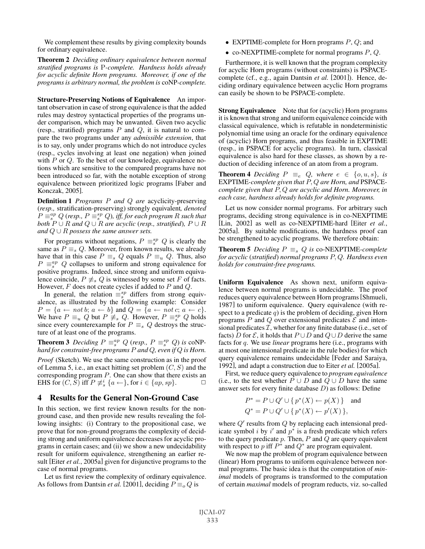We complement these results by giving complexity bounds for ordinary equivalence.

Theorem 2 *Deciding ordinary equivalence between normal stratified programs is* P*-complete. Hardness holds already for acyclic definite Horn programs. Moreover, if one of the programs is arbitrary normal, the problem is* coNP*-complete.*

Structure-Preserving Notions of Equivalence An important observation in case of strong equivalence is that the added rules may destroy syntactical properties of the programs under comparison, which may be unwanted. Given two acyclic (resp., stratified) programs  $P$  and  $Q$ , it is natural to compare the two programs under any *admissible extension*, that is to say, only under programs which do not introduce cycles (resp., cycles involving at least one negation) when joined with  $P$  or  $Q$ . To the best of our knowledge, equivalence notions which are sensitive to the compared programs have not been introduced so far, with the notable exception of strong equivalence between prioritized logic programs [Faber and Konczak, 2005].

Definition 1 *Programs* P *and* Q *are* acyclicity-preserving (*resp.,* stratification-preserving) strongly equivalent*, denoted*  $P \equiv_s^{ap} Q$  (resp.,  $P \equiv_s^{sp} Q$ ), iff, for each program R such that *both*  $P \cup R$  *and*  $Q \cup R$  *are acyclic (resp., stratified),*  $P \cup R$ *and*  $Q ∪ R$  *possess the same answer sets.* 

For programs without negations,  $P \equiv_s^{sp} Q$  is clearly the same as  $P \equiv_s Q$ . Moreover, from known results, we already have that in this case  $P \equiv_s Q$  equals  $P \equiv_u Q$ . Thus, also  $P \equiv_s^{ap} Q$  collapses to uniform and strong equivalence for positive programs. Indeed, since strong and uniform equivalence coincide,  $P \neq_{s} Q$  is witnessed by some set F of facts. However,  $F$  does not create cycles if added to  $P$  and  $Q$ .

In general, the relation  $\equiv_s^{sp}$  differs from strong equivalence, as illustrated by the following example: Consider  $P = \{a \leftarrow not\ b;\ a \leftarrow b\}$  and  $Q = \{a \leftarrow not\ c;\ a \leftarrow c\}.$ We have  $P \equiv_u Q$  but  $P \neq_s Q$ . However,  $P \equiv_s^{sp} Q$  holds since every counterexample for  $P \equiv_s Q$  destroys the structure of at least one of the programs.

**Theorem 3** Deciding  $P \equiv_s^{ap} Q$  (resp.,  $P \equiv_s^{sp} Q$ ) is coNP*hard for constraint-free programs* P *and* Q*, even if* Q *is Horn.*

*Proof* (Sketch). We use the same construction as in the proof of Lemma 5, i.e., an exact hitting set problem  $(C, S)$  and the corresponding program P. One can show that there exists an EHS for  $(C, S)$  iff  $P \not\equiv_s^i \{a \leftarrow\}$ , for  $i \in \{ap, sp\}$ .  $\Box$ 

## 4 Results for the General Non-Ground Case

In this section, we first review known results for the nonground case, and then provide new results revealing the following insights: (i) Contrary to the propositional case, we prove that for non-ground programs the complexity of deciding strong and uniform equivalence decreases for acyclic programs in certain cases; and (ii) we show a new undecidability result for uniform equivalence, strengthening an earlier result [Eiter *et al.*, 2005a] given for disjunctive programs to the case of normal programs.

Let us first review the complexity of ordinary equivalence. As follows from Dantsin *et al.* [2001], deciding  $P \equiv_{o} Q$  is

- EXPTIME-complete for Horn programs  $P, Q$ ; and
- co-NEXPTIME-complete for normal programs  $P, Q$ .

Furthermore, it is well known that the program complexity for acyclic Horn programs (without constraints) is PSPACEcomplete (cf., e.g., again Dantsin *et al.* [2001]). Hence, deciding ordinary equivalence between acyclic Horn programs can easily be shown to be PSPACE-complete.

Strong Equivalence Note that for (acyclic) Horn programs it is known that strong and uniform equivalence coincide with classical equivalence, which is refutable in nondeterministic polynomial time using an oracle for the ordinary equivalence of (acyclic) Horn programs, and thus feasible in EXPTIME (resp., in PSPACE for acyclic programs). In turn, classical equivalence is also hard for these classes, as shown by a reduction of deciding inference of an atom from a program.

**Theorem 4** *Deciding*  $P \equiv_e Q$ *, where*  $e \in \{o, u, s\}$ *, is* EXPTIME*-complete given that* P, Q *are Horn, and* PSPACE*complete given that* P, Q *are acyclic and Horn. Moreover, in each case, hardness already holds for definite programs.*

Let us now consider normal programs. For arbitrary such programs, deciding strong equivalence is in co-NEXPTIME [Lin, 2002] as well as co-NEXPTIME-hard [Eiter *et al.*, 2005a]. By suitable modifications, the hardness proof can be strengthened to acyclic programs. We therefore obtain:

**Theorem 5** *Deciding*  $P \equiv_s Q$  *is* co-NEXPTIME-*complete for acyclic* (*stratified*) *normal programs* P, Q*. Hardness even holds for constraint-free programs.*

Uniform Equivalence As shown next, uniform equivalence between normal programs is undecidable. The proof reduces query equivalence between Horn programs[Shmueli, 1987] to uniform equivalence. Query equivalence (with respect to a predicate  $q$ ) is the problem of deciding, given Horn programs P and Q over extensional predicates  $\mathcal E$  and intensional predicates  $\mathcal{I}$ , whether for any finite database (i.e., set of facts) D for  $\mathcal E$ , it holds that  $P \cup D$  and  $Q \cup D$  derive the same facts for q. We use *linear* programs here (i.e., programs with at most one intensional predicate in the rule bodies) for which query equivalence remains undecidable [Feder and Saraiya, 1992], and adapt a construction due to Eiter *et al.* [2005a].

First, we reduce query equivalence to *program equivalence* (i.e., to the test whether  $\overline{P} \cup D$  and  $\overline{Q} \cup D$  have the same answer sets for every finite database D) as follows: Define

$$
P^* = P \cup Q' \cup \{p^*(X) \leftarrow p(X)\} \text{ and}
$$
  
 
$$
Q^* = P \cup Q' \cup \{p^*(X) \leftarrow p'(X)\},
$$

where  $Q'$  results from  $Q$  by replacing each intensional predicate symbol *i* by i' and  $p^*$  is a fresh predicate which refers to the query predicate  $p$ . Then,  $P$  and  $Q$  are query equivalent with respect to p iff  $P^*$  and  $Q^*$  are program equivalent.

We now map the problem of program equivalence between (linear) Horn programs to uniform equivalence between normal programs. The basic idea is that the computation of *minimal* models of programs is transformed to the computation of certain *maximal* models of program reducts, viz. so-called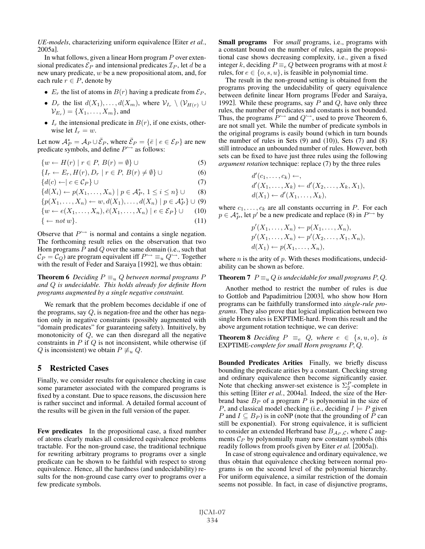*UE-models*, characterizing uniform equivalence [Eiter *et al.*, 2005a].

In what follows, given a linear Horn program  $P$  over extensional predicates  $\mathcal{E}_P$  and intensional predicates  $\mathcal{I}_P$ , let d be a new unary predicate, w be a new propositional atom, and, for each rule  $r \in P$ , denote by

- $E_r$  the list of atoms in  $B(r)$  having a predicate from  $\mathcal{E}_P$ ,
- $D_r$  the list  $d(X_1), \ldots, d(X_m)$ , where  $\mathcal{V}_{I_r} \setminus (\mathcal{V}_{H(r)} \cup$  $V_{E_n}$  = { $X_1, \ldots, X_m$ }, and
- $I_r$  the intensional predicate in  $B(r)$ , if one exists, otherwise let  $I_r = w$ .

Let now  $\mathcal{A}_P^* = \mathcal{A}_P \cup \overline{\mathcal{E}}_P$ , where  $\overline{\mathcal{E}}_P = \{ \overline{e} \mid e \in \mathcal{E}_P \}$  are new predicate symbols, and define  $P^{\hookrightarrow}$  as follows:

$$
\{w \leftarrow H(r) \mid r \in P, B(r) = \emptyset\} \cup \tag{5}
$$

$$
\{I_r \leftarrow E_r, H(r), D_r \mid r \in P, B(r) \neq \emptyset\} \cup \tag{6}
$$

$$
\{d(c) \leftarrow | c \in \mathcal{C}_P\} \cup \tag{7}
$$

$$
\{d(X_i) \leftarrow p(X_1, \dots, X_n) \mid p \in \mathcal{A}_P^*, 1 \le i \le n\} \cup \qquad (8)
$$

$$
\{p(X_1,\ldots,X_n)\leftarrow w,d(X_1),\ldots,d(X_n)\mid p\in \mathcal{A}_P^*\}\cup\ (9)
$$

$$
\{w \leftarrow e(X_1, \dots, X_n), \bar{e}(X_1, \dots, X_n) \mid e \in \mathcal{E}_P\} \cup \qquad (10)
$$

$$
\{ \leftarrow not \, w \}. \tag{11}
$$

Observe that  $P^{\hookrightarrow}$  is normal and contains a single negation. The forthcoming result relies on the observation that two Horn programs  $P$  and  $Q$  over the same domain (i.e., such that  $\mathcal{C}_P = \mathcal{C}_Q$  are program equivalent iff  $P^{\hookrightarrow} \equiv_u Q^{\hookrightarrow}$ . Together with the result of Feder and Saraiya [1992], we thus obtain:

**Theorem 6** *Deciding*  $P \equiv_u Q$  *between normal programs*  $P$ *and* Q *is undecidable. This holds already for definite Horn programs augmented by a single negative constraint.*

We remark that the problem becomes decidable if one of the programs, say  $Q$ , is negation-free and the other has negation only in negative constraints (possibly augmented with "domain predicates" for guaranteeing safety). Intuitively, by monotonicity of  $Q$ , we can then disregard all the negative constraints in  $P$  if  $Q$  is not inconsistent, while otherwise (if Q is inconsistent) we obtain  $P \not\equiv_u Q$ .

### 5 Restricted Cases

Finally, we consider results for equivalence checking in case some parameter associated with the compared programs is fixed by a constant. Due to space reasons, the discussion here is rather succinct and informal. A detailed formal account of the results will be given in the full version of the paper.

Few predicates In the propositional case, a fixed number of atoms clearly makes all considered equivalence problems tractable. For the non-ground case, the traditional technique for rewriting arbitrary programs to programs over a single predicate can be shown to be faithful with respect to strong equivalence. Hence, all the hardness (and undecidability) results for the non-ground case carry over to programs over a few predicate symbols.

Small programs For *small* programs, i.e., programs with a constant bound on the number of rules, again the propositional case shows decreasing complexity, i.e., given a fixed integer k, deciding  $P \equiv_e Q$  between programs with at most k rules, for  $e \in \{o, s, u\}$ , is feasible in polynomial time.

The result in the non-ground setting is obtained from the programs proving the undecidability of query equivalence between definite linear Horn programs [Feder and Saraiya, 1992]. While these programs, say  $P$  and  $Q$ , have only three rules, the number of predicates and constants is not bounded. Thus, the programs  $P^{\hookrightarrow}$  and  $Q^{\hookrightarrow}$ , used to prove Theorem 6, are not small yet. While the number of predicate symbols in the original programs is easily bound (which in turn bounds the number of rules in Sets  $(9)$  and  $(10)$ ), Sets  $(7)$  and  $(8)$ still introduce an unbounded number of rules. However, both sets can be fixed to have just three rules using the following *argument rotation* technique: replace (7) by the three rules

$$
d'(c_1, \ldots, c_k) \leftarrow,
$$
  
\n
$$
d'(X_1, \ldots, X_k) \leftarrow d'(X_2, \ldots, X_k, X_1),
$$
  
\n
$$
d(X_1) \leftarrow d'(X_1, \ldots, X_k),
$$

where  $c_1, \ldots, c_k$  are all constants occurring in P. For each  $p \in A_P^*$ , let  $p'$  be a new predicate and replace (8) in  $P \hookrightarrow$  by

$$
p'(X_1, ..., X_n) \leftarrow p(X_1, ..., X_n),
$$
  
\n
$$
p'(X_1, ..., X_n) \leftarrow p'(X_2, ..., X_1, X_n),
$$
  
\n
$$
d(X_1) \leftarrow p(X_1, ..., X_n),
$$

where  $n$  is the arity of  $p$ . With theses modifications, undecidability can be shown as before.

#### **Theorem 7**  $P \equiv_u Q$  *is undecidable for small programs*  $P, Q$ *.*

Another method to restrict the number of rules is due to Gottlob and Papadimitriou [2003], who show how Horn programs can be faithfully transformed into *single-rule programs*. They also prove that logical implication between two single Horn rules is EXPTIME-hard. From this result and the above argument rotation technique, we can derive:

**Theorem 8** *Deciding*  $P \equiv_e Q$ *, where*  $e \in \{s, u, o\}$ *, is* EXPTIME*-complete for small Horn programs* P, Q*.*

Bounded Predicates Arities Finally, we briefly discuss bounding the predicate arities by a constant. Checking strong and ordinary equivalence then become significantly easier. Note that checking answer-set existence is  $\Sigma_2^P$ -complete in this setting [Eiter *et al.*, 2004a]. Indeed, the size of the Herbrand base  $B_P$  of a program P is polynomial in the size of P, and classical model checking (i.e., deciding  $I \models P$  given P and  $I \subseteq B_P$ ) is in coNP (note that the grounding of P can still be exponential). For strong equivalence, it is sufficient to consider an extended Herbrand base  $B_{A_P,C}$ , where C augments  $C_P$  by polynomially many new constant symbols (this readily follows from proofs given by Eiter *et al.* [2005a]).

In case of strong equivalence and ordinary equivalence, we thus obtain that equivalence checking between normal programs is on the second level of the polynomial hierarchy. For uniform equivalence, a similar restriction of the domain seems not possible. In fact, in case of disjunctive programs,